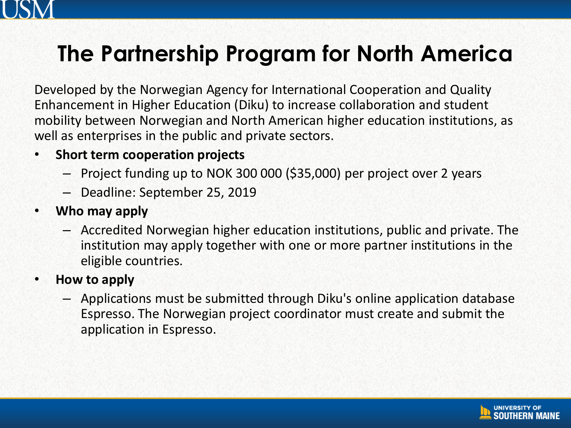

### **The Partnership Program for North America**

Developed by the Norwegian Agency for International Cooperation and Quality Enhancement in Higher Education (Diku) to increase collaboration and student mobility between Norwegian and North American higher education institutions, as well as enterprises in the public and private sectors.

#### • **Short term cooperation projects**

- Project funding up to NOK 300 000 (\$35,000) per project over 2 years
- Deadline: September 25, 2019
- **Who may apply**
	- Accredited Norwegian higher education institutions, public and private. The institution may apply together with one or more partner institutions in the eligible countries.
- **How to apply**
	- Applications must be submitted through Diku's online application database Espresso. The Norwegian project coordinator must create and submit the application in Espresso.

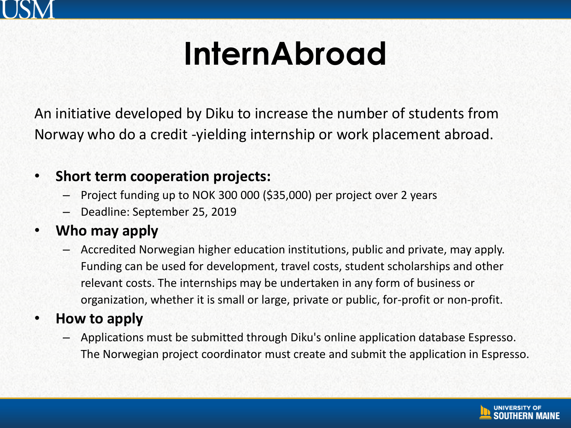

### **InternAbroad**

An initiative developed by Diku to increase the number of students from Norway who do a credit -yielding internship or work placement abroad.

#### • **Short term cooperation projects:**

- Project funding up to NOK 300 000 (\$35,000) per project over 2 years
- Deadline: September 25, 2019

#### • **Who may apply**

– Accredited Norwegian higher education institutions, public and private, may apply. Funding can be used for development, travel costs, student scholarships and other relevant costs. The internships may be undertaken in any form of business or organization, whether it is small or large, private or public, for-profit or non-profit.

#### • **How to apply**

– Applications must be submitted through Diku's online application database Espresso. The Norwegian project coordinator must create and submit the application in Espresso.

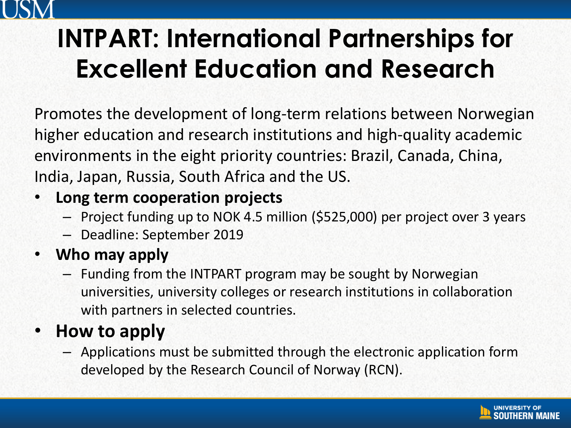

### **INTPART: International Partnerships for Excellent Education and Research**

Promotes the development of long-term relations between Norwegian higher education and research institutions and high-quality academic environments in the eight priority countries: Brazil, Canada, China, India, Japan, Russia, South Africa and the US.

### • **Long term cooperation projects**

- Project funding up to NOK 4.5 million (\$525,000) per project over 3 years
- Deadline: September 2019

### • **Who may apply**

– Funding from the INTPART program may be sought by Norwegian universities, university colleges or research institutions in collaboration with partners in selected countries.

### • **How to apply**

– Applications must be submitted through the electronic application form developed by the Research Council of Norway (RCN).

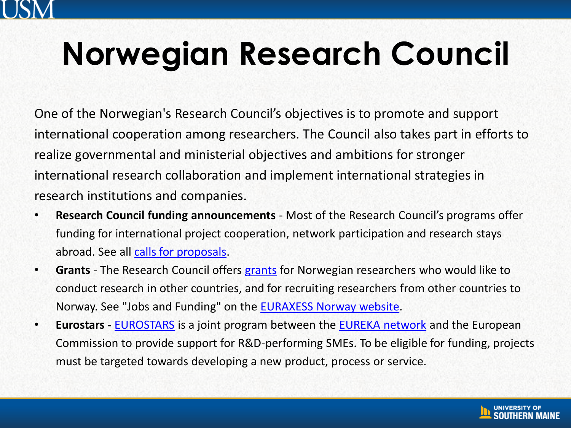

## **Norwegian Research Council**

One of the Norwegian's Research Council's objectives is to promote and support international cooperation among researchers. The Council also takes part in efforts to realize governmental and ministerial objectives and ambitions for stronger international research collaboration and implement international strategies in research institutions and companies.

- **Research Council funding announcements**  Most of the Research Council's programs offer funding for international project cooperation, network participation and research stays abroad. See all [calls for proposals.](https://www.forskningsradet.no/en/Find_calls_for_proposals/1184150364108)
- **Grants**  The Research Council offers [grants](https://www.forskningsradet.no/en/Article/Grants/1254031696606?lang=en) for Norwegian researchers who would like to conduct research in other countries, and for recruiting researchers from other countries to Norway. See "Jobs and Funding" on the [EURAXESS Norway website.](http://www.euraxess.no/)
- **Eurostars -** [EUROSTARS](https://www.forskningsradet.no/prognett-eurostars/Home_page/1253954512337) is a joint program between the [EUREKA network](http://www.eurekanetwork.org/) and the European Commission to provide support for R&D-performing SMEs. To be eligible for funding, projects must be targeted towards developing a new product, process or service.

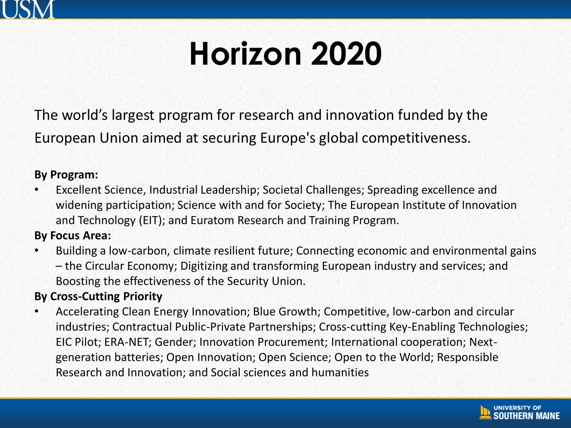

### **Horizon 2020**

The world's largest program for research and innovation funded by the European Union aimed at securing Europe's global competitiveness.

#### **By Program:**

• Excellent Science, Industrial Leadership; Societal Challenges; Spreading excellence and widening participation; Science with and for Society; The European Institute of Innovation and Technology (EIT); and Euratom Research and Training Program.

**By Focus Area:**

• Building a low-carbon, climate resilient future; Connecting economic and environmental gains – the Circular Economy; Digitizing and transforming European industry and services; and Boosting the effectiveness of the Security Union.

#### **By Cross-Cutting Priority**

• Accelerating Clean Energy Innovation; Blue Growth; Competitive, low-carbon and circular industries; Contractual Public-Private Partnerships; Cross-cutting Key-Enabling Technologies; EIC Pilot; ERA-NET; Gender; Innovation Procurement; International cooperation; Nextgeneration batteries; Open Innovation; Open Science; Open to the World; Responsible Research and Innovation; and Social sciences and humanities

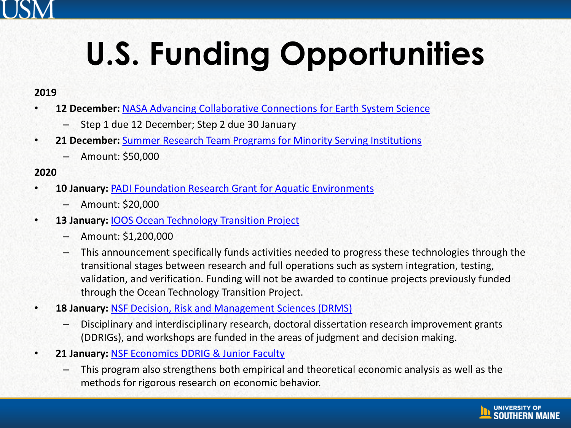# **U.S. Funding Opportunities**

#### **2019**

- **12 December:** [NASA Advancing Collaborative Connections for Earth System Science](https://nspires.nasaprs.com/external/solicitations/summary.do?solId=%7B110CE76C-2B83-13FF-7E13-E0AB835DAA36%7D&path=&method=init)
	- Step 1 due 12 December; Step 2 due 30 January
- **21 December:** [Summer Research Team Programs for Minority Serving Institutions](https://www.orau.gov/dhseducation/faculty/index.html)
	- Amount: \$50,000

#### **2020**

- **10 January:** [PADI Foundation Research Grant for Aquatic Environments](http://www.padifoundation.org/guides-deadlines.html)
	- Amount: \$20,000
- **13 January:** [IOOS Ocean Technology Transition Project](https://www.nopp.org/2019/ioos-ocean-technology-call-for-proposals/)
	- Amount: \$1,200,000
	- This announcement specifically funds activities needed to progress these technologies through the transitional stages between research and full operations such as system integration, testing, validation, and verification. Funding will not be awarded to continue projects previously funded through the Ocean Technology Transition Project.
- **18 January:** [NSF Decision, Risk and Management Sciences \(DRMS\)](https://www.nsf.gov/funding/pgm_summ.jsp?pims_id=5423&org=NSF)
	- Disciplinary and interdisciplinary research, doctoral dissertation research improvement grants (DDRIGs), and workshops are funded in the areas of judgment and decision making.
- **21 January:** [NSF Economics DDRIG & Junior Faculty](https://www.nsf.gov/funding/pgm_summ.jsp?pims_id=5437&org=NSF)
	- This program also strengthens both empirical and theoretical economic analysis as well as the methods for rigorous research on economic behavior.

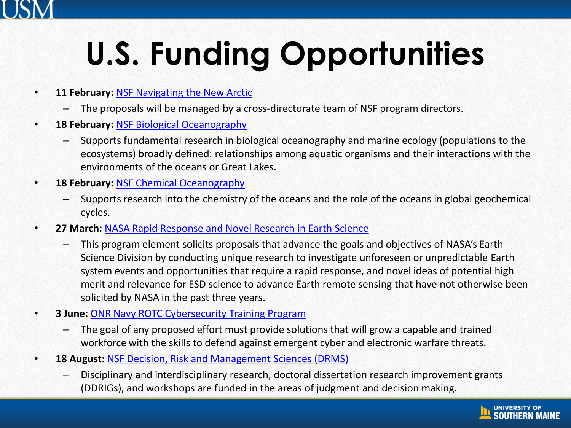# **U.S. Funding Opportunities**

- **11 February:** [NSF Navigating the New Arctic](https://www.nsf.gov/funding/pgm_summ.jsp?pims_id=505594&org=OPP&from=home)
	- The proposals will be managed by a cross-directorate team of NSF program directors.
- **18 February:** [NSF Biological Oceanography](https://www.nsf.gov/funding/pgm_summ.jsp?pims_id=11696&org=GEO&sel_org=GEO&from=fund)
	- Supports fundamental research in biological oceanography and marine ecology (populations to the ecosystems) broadly defined: relationships among aquatic organisms and their interactions with the environments of the oceans or Great Lakes.
- **18 February:** [NSF Chemical Oceanography](https://www.nsf.gov/funding/pgm_summ.jsp?pims_id=11698&org=GEO&sel_org=GEO&from=fund)
	- Supports research into the chemistry of the oceans and the role of the oceans in global geochemical cycles.
- **27 March:** [NASA Rapid Response and Novel Research in Earth Science](https://nspires.nasaprs.com/external/solicitations/summary.do?solId=%7B685E050A-B1FD-74C8-626C-C098B88F7C84%7D&path=&method=init)
	- This program element solicits proposals that advance the goals and objectives of NASA's Earth Science Division by conducting unique research to investigate unforeseen or unpredictable Earth system events and opportunities that require a rapid response, and novel ideas of potential high merit and relevance for ESD science to advance Earth remote sensing that have not otherwise been solicited by NASA in the past three years.
- **3 June:** [ONR Navy ROTC Cybersecurity Training Program](https://www.grants.gov/web/grants/view-opportunity.html?oppId=316702)
	- The goal of any proposed effort must provide solutions that will grow a capable and trained workforce with the skills to defend against emergent cyber and electronic warfare threats.
- **18 August:** [NSF Decision, Risk and Management Sciences \(DRMS\)](https://www.nsf.gov/funding/pgm_summ.jsp?pims_id=5423&org=NSF)
	- Disciplinary and interdisciplinary research, doctoral dissertation research improvement grants (DDRIGs), and workshops are funded in the areas of judgment and decision making.

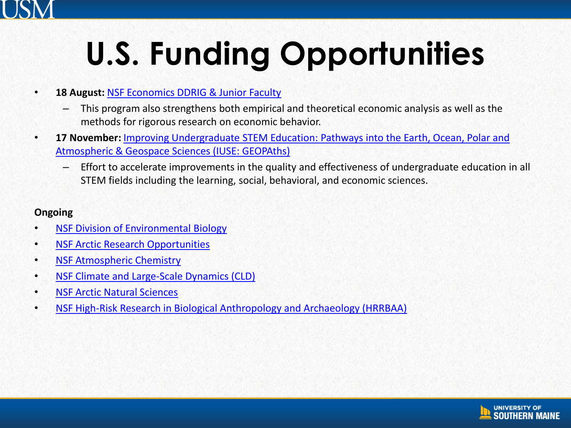## **U.S. Funding Opportunities**

#### • **18 August:** [NSF Economics DDRIG & Junior Faculty](https://www.nsf.gov/funding/pgm_summ.jsp?pims_id=5437&org=NSF)

- This program also strengthens both empirical and theoretical economic analysis as well as the methods for rigorous research on economic behavior.
- **17 November:** [Improving Undergraduate STEM Education: Pathways into the Earth, Ocean, Polar and](https://www.nsf.gov/pubs/2020/nsf20516/nsf20516.htm?WT.mc_id=USNSF_25&WT.mc_ev=click)  Atmospheric & Geospace Sciences (IUSE: GEOPAths)
	- Effort to accelerate improvements in the quality and effectiveness of undergraduate education in all STEM fields including the learning, social, behavioral, and economic sciences.

#### **Ongoing**

- [NSF Division of Environmental Biology](https://www.grants.gov/web/grants/view-opportunity.html?oppId=321354)
- [NSF Arctic Research Opportunities](https://www.nsf.gov/funding/pgm_summ.jsp?pims_id=5521&org=GEO&sel_org=GEO&from=fund)
- [NSF Atmospheric Chemistry](https://www.nsf.gov/funding/pgm_summ.jsp?pims_id=11692&org=GEO&sel_org=GEO&from=fund)
- [NSF Climate and Large-Scale Dynamics \(CLD\)](https://www.nsf.gov/funding/pgm_summ.jsp?pims_id=11699&org=GEO&sel_org=GEO&from=fund)
- [NSF Arctic Natural Sciences](https://www.nsf.gov/funding/pgm_summ.jsp?pims_id=13424&org=GEO&sel_org=GEO&from=fund)
- [NSF High-Risk Research in Biological Anthropology and Archaeology \(HRRBAA\)](https://www.nsf.gov/pubs/2019/nsf19570/nsf19570.htm?WT.mc_id=USNSF_25&WT.mc_ev=click)